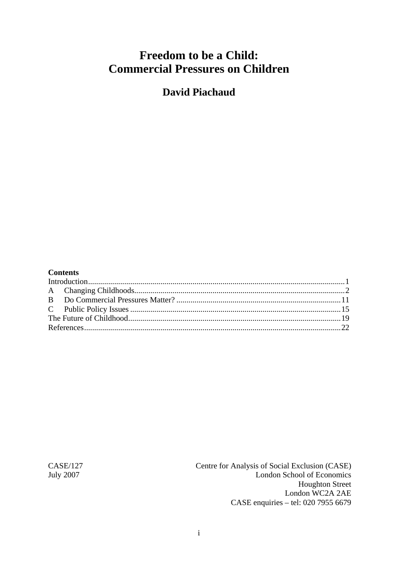# **Freedom to be a Child: Commercial Pressures on Children**

**David Piachaud** 

#### **Contents**

CASE/127 Centre for Analysis of Social Exclusion (CASE) July 2007 London School of Economics Houghton Street London WC2A 2AE CASE enquiries – tel: 020 7955 6679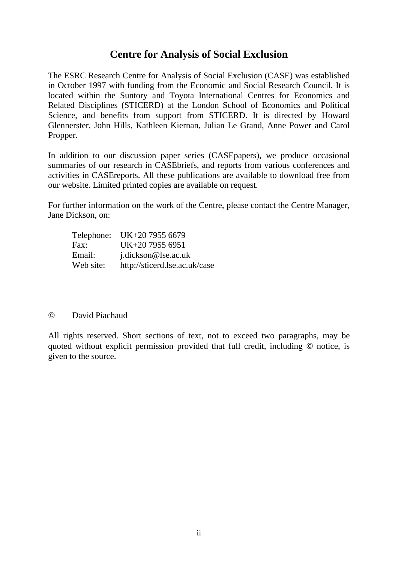### **Centre for Analysis of Social Exclusion**

The ESRC Research Centre for Analysis of Social Exclusion (CASE) was established in October 1997 with funding from the Economic and Social Research Council. It is located within the Suntory and Toyota International Centres for Economics and Related Disciplines (STICERD) at the London School of Economics and Political Science, and benefits from support from STICERD. It is directed by Howard Glennerster, John Hills, Kathleen Kiernan, Julian Le Grand, Anne Power and Carol Propper.

In addition to our discussion paper series (CASEpapers), we produce occasional summaries of our research in CASEbriefs, and reports from various conferences and activities in CASEreports. All these publications are available to download free from our website. Limited printed copies are available on request.

For further information on the work of the Centre, please contact the Centre Manager, Jane Dickson, on:

|           | Telephone: UK+20 7955 6679    |
|-----------|-------------------------------|
| Fax:      | UK+20 7955 6951               |
| Email:    | j.dickson@lse.ac.uk           |
| Web site: | http://sticerd.lse.ac.uk/case |

#### © David Piachaud

All rights reserved. Short sections of text, not to exceed two paragraphs, may be quoted without explicit permission provided that full credit, including © notice, is given to the source.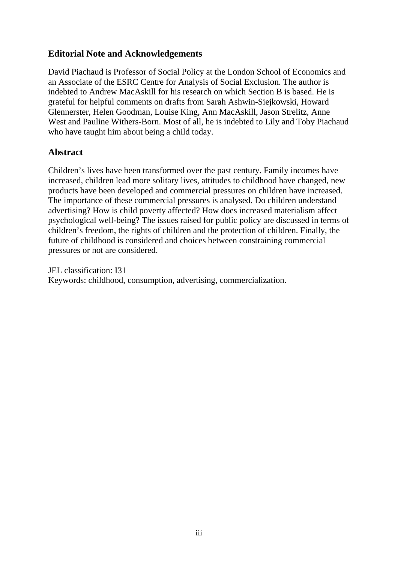### **Editorial Note and Acknowledgements**

David Piachaud is Professor of Social Policy at the London School of Economics and an Associate of the ESRC Centre for Analysis of Social Exclusion. The author is indebted to Andrew MacAskill for his research on which Section B is based. He is grateful for helpful comments on drafts from Sarah Ashwin-Siejkowski, Howard Glennerster, Helen Goodman, Louise King, Ann MacAskill, Jason Strelitz, Anne West and Pauline Withers-Born. Most of all, he is indebted to Lily and Toby Piachaud who have taught him about being a child today.

### **Abstract**

Children's lives have been transformed over the past century. Family incomes have increased, children lead more solitary lives, attitudes to childhood have changed, new products have been developed and commercial pressures on children have increased. The importance of these commercial pressures is analysed. Do children understand advertising? How is child poverty affected? How does increased materialism affect psychological well-being? The issues raised for public policy are discussed in terms of children's freedom, the rights of children and the protection of children. Finally, the future of childhood is considered and choices between constraining commercial pressures or not are considered.

JEL classification: I31 Keywords: childhood, consumption, advertising, commercialization.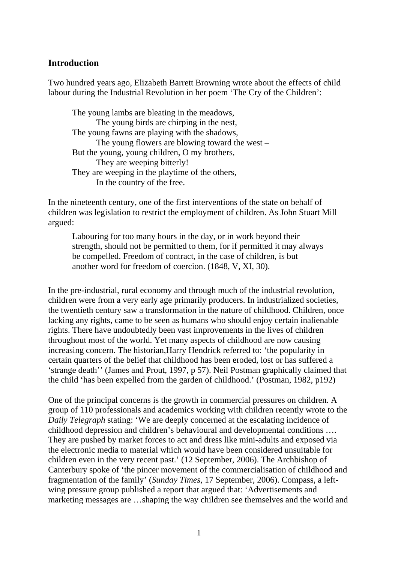### **Introduction**

Two hundred years ago, Elizabeth Barrett Browning wrote about the effects of child labour during the Industrial Revolution in her poem 'The Cry of the Children':

The young lambs are bleating in the meadows, The young birds are chirping in the nest, The young fawns are playing with the shadows, The young flowers are blowing toward the west – But the young, young children, O my brothers, They are weeping bitterly! They are weeping in the playtime of the others, In the country of the free.

In the nineteenth century, one of the first interventions of the state on behalf of children was legislation to restrict the employment of children. As John Stuart Mill argued:

Labouring for too many hours in the day, or in work beyond their strength, should not be permitted to them, for if permitted it may always be compelled. Freedom of contract, in the case of children, is but another word for freedom of coercion. (1848, V, XI, 30).

In the pre-industrial, rural economy and through much of the industrial revolution, children were from a very early age primarily producers. In industrialized societies, the twentieth century saw a transformation in the nature of childhood. Children, once lacking any rights, came to be seen as humans who should enjoy certain inalienable rights. There have undoubtedly been vast improvements in the lives of children throughout most of the world. Yet many aspects of childhood are now causing increasing concern. The historian,Harry Hendrick referred to: 'the popularity in certain quarters of the belief that childhood has been eroded, lost or has suffered a 'strange death'' (James and Prout, 1997, p 57). Neil Postman graphically claimed that the child 'has been expelled from the garden of childhood.' (Postman, 1982, p192)

One of the principal concerns is the growth in commercial pressures on children. A group of 110 professionals and academics working with children recently wrote to the *Daily Telegraph* stating: 'We are deeply concerned at the escalating incidence of childhood depression and children's behavioural and developmental conditions …. They are pushed by market forces to act and dress like mini-adults and exposed via the electronic media to material which would have been considered unsuitable for children even in the very recent past.' (12 September, 2006). The Archbishop of Canterbury spoke of 'the pincer movement of the commercialisation of childhood and fragmentation of the family' (*Sunday Times*, 17 September, 2006). Compass, a leftwing pressure group published a report that argued that: 'Advertisements and marketing messages are …shaping the way children see themselves and the world and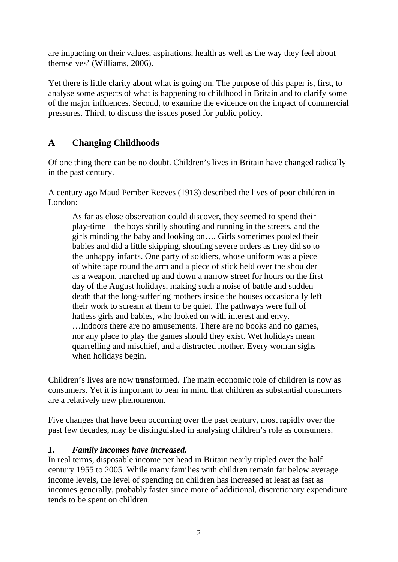are impacting on their values, aspirations, health as well as the way they feel about themselves' (Williams, 2006).

Yet there is little clarity about what is going on. The purpose of this paper is, first, to analyse some aspects of what is happening to childhood in Britain and to clarify some of the major influences. Second, to examine the evidence on the impact of commercial pressures. Third, to discuss the issues posed for public policy.

## **A Changing Childhoods**

Of one thing there can be no doubt. Children's lives in Britain have changed radically in the past century.

A century ago Maud Pember Reeves (1913) described the lives of poor children in London:

As far as close observation could discover, they seemed to spend their play-time – the boys shrilly shouting and running in the streets, and the girls minding the baby and looking on…. Girls sometimes pooled their babies and did a little skipping, shouting severe orders as they did so to the unhappy infants. One party of soldiers, whose uniform was a piece of white tape round the arm and a piece of stick held over the shoulder as a weapon, marched up and down a narrow street for hours on the first day of the August holidays, making such a noise of battle and sudden death that the long-suffering mothers inside the houses occasionally left their work to scream at them to be quiet. The pathways were full of hatless girls and babies, who looked on with interest and envy.

…Indoors there are no amusements. There are no books and no games, nor any place to play the games should they exist. Wet holidays mean quarrelling and mischief, and a distracted mother. Every woman sighs when holidays begin.

Children's lives are now transformed. The main economic role of children is now as consumers. Yet it is important to bear in mind that children as substantial consumers are a relatively new phenomenon.

Five changes that have been occurring over the past century, most rapidly over the past few decades, may be distinguished in analysing children's role as consumers.

### *1. Family incomes have increased.*

In real terms, disposable income per head in Britain nearly tripled over the half century 1955 to 2005. While many families with children remain far below average income levels, the level of spending on children has increased at least as fast as incomes generally, probably faster since more of additional, discretionary expenditure tends to be spent on children.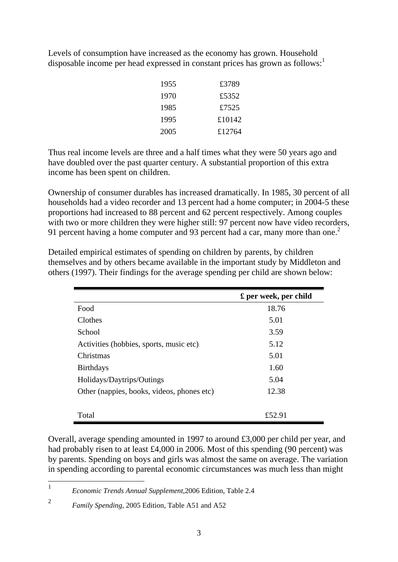Levels of consumption have increased as the economy has grown. Household disposable income per head expressed in constant prices has grown as follows:<sup>1</sup>

| 1955 | £3789  |
|------|--------|
| 1970 | £5352  |
| 1985 | £7525  |
| 1995 | £10142 |
| 2005 | £12764 |

Thus real income levels are three and a half times what they were 50 years ago and have doubled over the past quarter century. A substantial proportion of this extra income has been spent on children.

Ownership of consumer durables has increased dramatically. In 1985, 30 percent of all households had a video recorder and 13 percent had a home computer; in 2004-5 these proportions had increased to 88 percent and 62 percent respectively. Among couples with two or more children they were higher still: 97 percent now have video recorders, 91 percent having a home computer and 93 percent had a car, many more than one.<sup>2</sup>

|                                            | £ per week, per child |
|--------------------------------------------|-----------------------|
| Food                                       | 18.76                 |
| Clothes                                    | 5.01                  |
| School                                     | 3.59                  |
| Activities (hobbies, sports, music etc)    | 5.12                  |
| Christmas                                  | 5.01                  |
| <b>Birthdays</b>                           | 1.60                  |
| Holidays/Daytrips/Outings                  | 5.04                  |
| Other (nappies, books, videos, phones etc) | 12.38                 |
| Total                                      | £52.91                |

Detailed empirical estimates of spending on children by parents, by children themselves and by others became available in the important study by Middleton and others (1997). Their findings for the average spending per child are shown below:

Overall, average spending amounted in 1997 to around £3,000 per child per year, and had probably risen to at least £4,000 in 2006. Most of this spending (90 percent) was by parents. Spending on boys and girls was almost the same on average. The variation in spending according to parental economic circumstances was much less than might

-

<sup>1</sup> *Economic Trends Annual Supplement*,2006 Edition, Table 2.4

<sup>2</sup> *Family Spending*, 2005 Edition, Table A51 and A52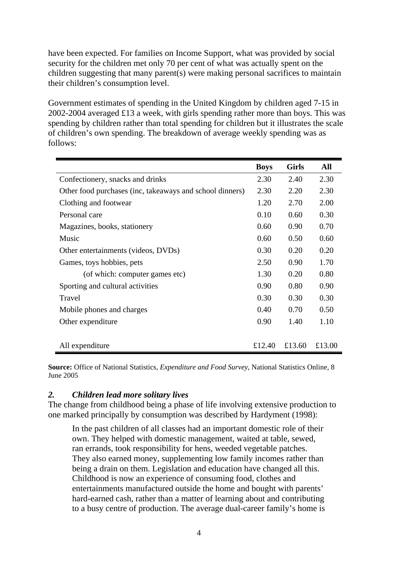have been expected. For families on Income Support, what was provided by social security for the children met only 70 per cent of what was actually spent on the children suggesting that many parent(s) were making personal sacrifices to maintain their children's consumption level.

Government estimates of spending in the United Kingdom by children aged 7-15 in 2002-2004 averaged £13 a week, with girls spending rather more than boys. This was spending by children rather than total spending for children but it illustrates the scale of children's own spending. The breakdown of average weekly spending was as follows:

|                                                          | <b>Boys</b> | <b>Girls</b> | All    |
|----------------------------------------------------------|-------------|--------------|--------|
| Confectionery, snacks and drinks                         |             | 2.40         | 2.30   |
| Other food purchases (inc, takeaways and school dinners) | 2.30        | 2.20         | 2.30   |
| Clothing and footwear                                    | 1.20        | 2.70         | 2.00   |
| Personal care                                            | 0.10        | 0.60         | 0.30   |
| Magazines, books, stationery                             | 0.60        | 0.90         | 0.70   |
| Music                                                    | 0.60        | 0.50         | 0.60   |
| Other entertainments (videos, DVDs)                      | 0.30        | 0.20         | 0.20   |
| Games, toys hobbies, pets                                | 2.50        | 0.90         | 1.70   |
| (of which: computer games etc)                           | 1.30        | 0.20         | 0.80   |
| Sporting and cultural activities                         | 0.90        | 0.80         | 0.90   |
| Travel                                                   | 0.30        | 0.30         | 0.30   |
| Mobile phones and charges                                | 0.40        | 0.70         | 0.50   |
| Other expenditure                                        | 0.90        | 1.40         | 1.10   |
|                                                          |             |              |        |
| All expenditure                                          | £12.40      | £13.60       | £13.00 |

**Source:** Office of National Statistics, *Expenditure and Food Survey*, National Statistics Online, 8 June 2005

#### *2. Children lead more solitary lives*

The change from childhood being a phase of life involving extensive production to one marked principally by consumption was described by Hardyment (1998):

In the past children of all classes had an important domestic role of their own. They helped with domestic management, waited at table, sewed, ran errands, took responsibility for hens, weeded vegetable patches. They also earned money, supplementing low family incomes rather than being a drain on them. Legislation and education have changed all this. Childhood is now an experience of consuming food, clothes and entertainments manufactured outside the home and bought with parents' hard-earned cash, rather than a matter of learning about and contributing to a busy centre of production. The average dual-career family's home is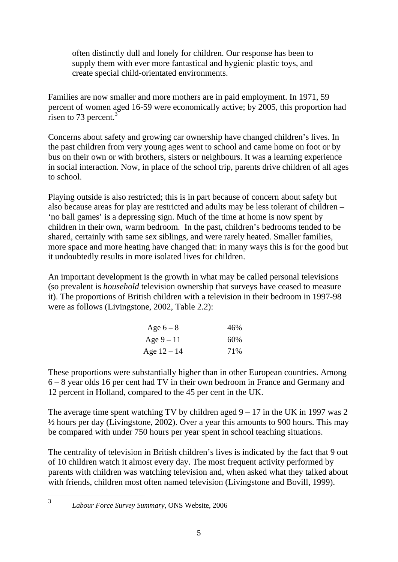often distinctly dull and lonely for children. Our response has been to supply them with ever more fantastical and hygienic plastic toys, and create special child-orientated environments.

Families are now smaller and more mothers are in paid employment. In 1971, 59 percent of women aged 16-59 were economically active; by 2005, this proportion had risen to 73 percent. $3$ 

Concerns about safety and growing car ownership have changed children's lives. In the past children from very young ages went to school and came home on foot or by bus on their own or with brothers, sisters or neighbours. It was a learning experience in social interaction. Now, in place of the school trip, parents drive children of all ages to school.

Playing outside is also restricted; this is in part because of concern about safety but also because areas for play are restricted and adults may be less tolerant of children – 'no ball games' is a depressing sign. Much of the time at home is now spent by children in their own, warm bedroom. In the past, children's bedrooms tended to be shared, certainly with same sex siblings, and were rarely heated. Smaller families, more space and more heating have changed that: in many ways this is for the good but it undoubtedly results in more isolated lives for children.

An important development is the growth in what may be called personal televisions (so prevalent is *household* television ownership that surveys have ceased to measure it). The proportions of British children with a television in their bedroom in 1997-98 were as follows (Livingstone, 2002, Table 2.2):

| Age $6-8$    | 46% |
|--------------|-----|
| Age $9 - 11$ | 60% |
| Age 12 – 14  | 71% |

These proportions were substantially higher than in other European countries. Among 6 – 8 year olds 16 per cent had TV in their own bedroom in France and Germany and 12 percent in Holland, compared to the 45 per cent in the UK.

The average time spent watching TV by children aged  $9 - 17$  in the UK in 1997 was 2 ½ hours per day (Livingstone, 2002). Over a year this amounts to 900 hours. This may be compared with under 750 hours per year spent in school teaching situations.

The centrality of television in British children's lives is indicated by the fact that 9 out of 10 children watch it almost every day. The most frequent activity performed by parents with children was watching television and, when asked what they talked about with friends, children most often named television (Livingstone and Bovill, 1999).

1 3

*Labour Force Survey Summary*, ONS Website, 2006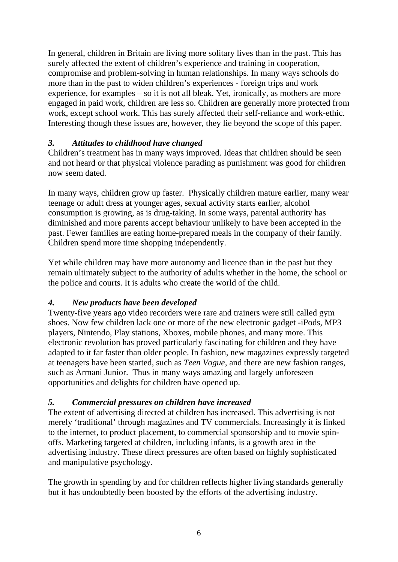In general, children in Britain are living more solitary lives than in the past. This has surely affected the extent of children's experience and training in cooperation, compromise and problem-solving in human relationships. In many ways schools do more than in the past to widen children's experiences - foreign trips and work experience, for examples – so it is not all bleak. Yet, ironically, as mothers are more engaged in paid work, children are less so. Children are generally more protected from work, except school work. This has surely affected their self-reliance and work-ethic. Interesting though these issues are, however, they lie beyond the scope of this paper.

### *3. Attitudes to childhood have changed*

Children's treatment has in many ways improved. Ideas that children should be seen and not heard or that physical violence parading as punishment was good for children now seem dated.

In many ways, children grow up faster. Physically children mature earlier, many wear teenage or adult dress at younger ages, sexual activity starts earlier, alcohol consumption is growing, as is drug-taking. In some ways, parental authority has diminished and more parents accept behaviour unlikely to have been accepted in the past. Fewer families are eating home-prepared meals in the company of their family. Children spend more time shopping independently.

Yet while children may have more autonomy and licence than in the past but they remain ultimately subject to the authority of adults whether in the home, the school or the police and courts. It is adults who create the world of the child.

### *4. New products have been developed*

Twenty-five years ago video recorders were rare and trainers were still called gym shoes. Now few children lack one or more of the new electronic gadget -iPods, MP3 players, Nintendo, Play stations, Xboxes, mobile phones, and many more. This electronic revolution has proved particularly fascinating for children and they have adapted to it far faster than older people. In fashion, new magazines expressly targeted at teenagers have been started, such as *Teen Vogue*, and there are new fashion ranges, such as Armani Junior. Thus in many ways amazing and largely unforeseen opportunities and delights for children have opened up.

#### *5. Commercial pressures on children have increased*

The extent of advertising directed at children has increased. This advertising is not merely 'traditional' through magazines and TV commercials. Increasingly it is linked to the internet, to product placement, to commercial sponsorship and to movie spinoffs. Marketing targeted at children, including infants, is a growth area in the advertising industry. These direct pressures are often based on highly sophisticated and manipulative psychology.

The growth in spending by and for children reflects higher living standards generally but it has undoubtedly been boosted by the efforts of the advertising industry.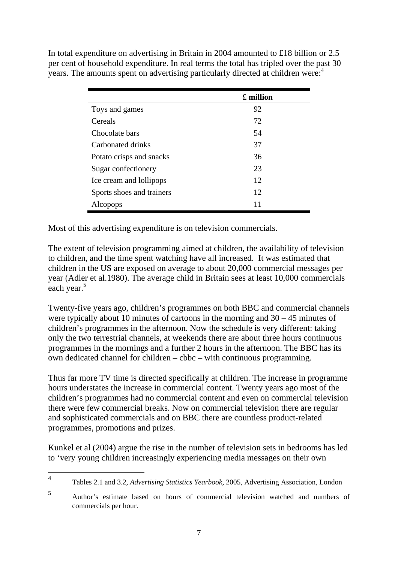In total expenditure on advertising in Britain in 2004 amounted to £18 billion or 2.5 per cent of household expenditure. In real terms the total has tripled over the past 30 years. The amounts spent on advertising particularly directed at children were:<sup>4</sup>

|                           | £ million |
|---------------------------|-----------|
| Toys and games            | 92        |
| Cereals                   | 72        |
| Chocolate bars            | 54        |
| Carbonated drinks         | 37        |
| Potato crisps and snacks  | 36        |
| Sugar confectionery       | 23        |
| Ice cream and lollipops   | 12        |
| Sports shoes and trainers | 12        |
| Alcopops                  | 11        |

Most of this advertising expenditure is on television commercials.

The extent of television programming aimed at children, the availability of television to children, and the time spent watching have all increased. It was estimated that children in the US are exposed on average to about 20,000 commercial messages per year (Adler et al.1980). The average child in Britain sees at least 10,000 commercials each year.<sup>5</sup>

Twenty-five years ago, children's programmes on both BBC and commercial channels were typically about 10 minutes of cartoons in the morning and 30 – 45 minutes of children's programmes in the afternoon. Now the schedule is very different: taking only the two terrestrial channels, at weekends there are about three hours continuous programmes in the mornings and a further 2 hours in the afternoon. The BBC has its own dedicated channel for children – cbbc – with continuous programming.

Thus far more TV time is directed specifically at children. The increase in programme hours understates the increase in commercial content. Twenty years ago most of the children's programmes had no commercial content and even on commercial television there were few commercial breaks. Now on commercial television there are regular and sophisticated commercials and on BBC there are countless product-related programmes, promotions and prizes.

Kunkel et al (2004) argue the rise in the number of television sets in bedrooms has led to 'very young children increasingly experiencing media messages on their own

1

<sup>4</sup> Tables 2.1 and 3.2, *Advertising Statistics Yearbook*, 2005, Advertising Association, London

<sup>5</sup> Author's estimate based on hours of commercial television watched and numbers of commercials per hour.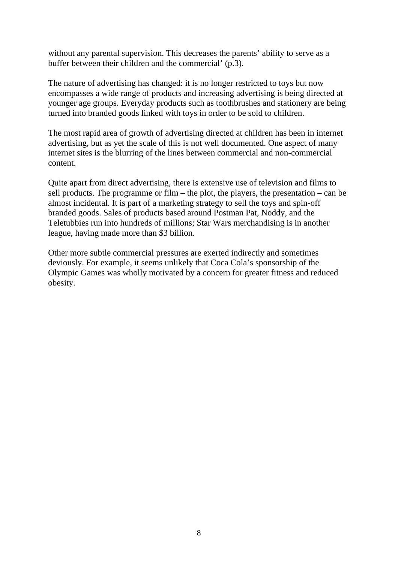without any parental supervision. This decreases the parents' ability to serve as a buffer between their children and the commercial' (p.3).

The nature of advertising has changed: it is no longer restricted to toys but now encompasses a wide range of products and increasing advertising is being directed at younger age groups. Everyday products such as toothbrushes and stationery are being turned into branded goods linked with toys in order to be sold to children.

The most rapid area of growth of advertising directed at children has been in internet advertising, but as yet the scale of this is not well documented. One aspect of many internet sites is the blurring of the lines between commercial and non-commercial content.

Quite apart from direct advertising, there is extensive use of television and films to sell products. The programme or film – the plot, the players, the presentation – can be almost incidental. It is part of a marketing strategy to sell the toys and spin-off branded goods. Sales of products based around Postman Pat, Noddy, and the Teletubbies run into hundreds of millions; Star Wars merchandising is in another league, having made more than \$3 billion.

Other more subtle commercial pressures are exerted indirectly and sometimes deviously. For example, it seems unlikely that Coca Cola's sponsorship of the Olympic Games was wholly motivated by a concern for greater fitness and reduced obesity.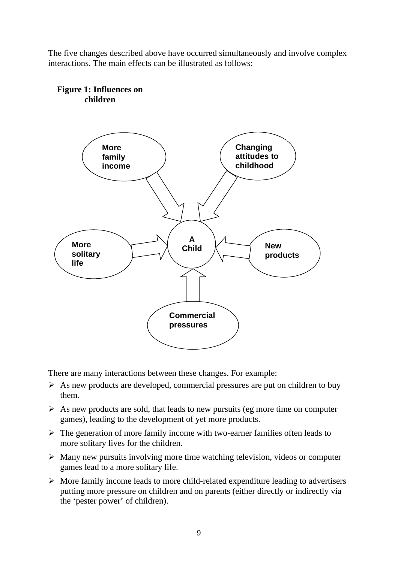The five changes described above have occurred simultaneously and involve complex interactions. The main effects can be illustrated as follows:



**Figure 1: Influences on children** 

There are many interactions between these changes. For example:

- $\triangleright$  As new products are developed, commercial pressures are put on children to buy them.
- $\triangleright$  As new products are sold, that leads to new pursuits (eg more time on computer games), leading to the development of yet more products.
- $\triangleright$  The generation of more family income with two-earner families often leads to more solitary lives for the children.
- $\triangleright$  Many new pursuits involving more time watching television, videos or computer games lead to a more solitary life.
- $\triangleright$  More family income leads to more child-related expenditure leading to advertisers putting more pressure on children and on parents (either directly or indirectly via the 'pester power' of children).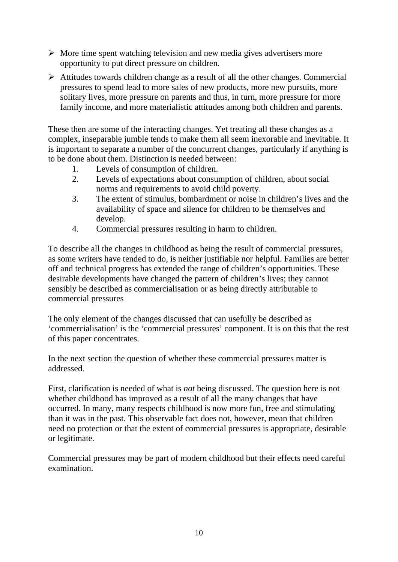- $\triangleright$  More time spent watching television and new media gives advertisers more opportunity to put direct pressure on children.
- $\triangleright$  Attitudes towards children change as a result of all the other changes. Commercial pressures to spend lead to more sales of new products, more new pursuits, more solitary lives, more pressure on parents and thus, in turn, more pressure for more family income, and more materialistic attitudes among both children and parents.

These then are some of the interacting changes. Yet treating all these changes as a complex, inseparable jumble tends to make them all seem inexorable and inevitable. It is important to separate a number of the concurrent changes, particularly if anything is to be done about them. Distinction is needed between:

- 1. Levels of consumption of children.
- 2. Levels of expectations about consumption of children, about social norms and requirements to avoid child poverty.
- 3. The extent of stimulus, bombardment or noise in children's lives and the availability of space and silence for children to be themselves and develop.
- 4. Commercial pressures resulting in harm to children.

To describe all the changes in childhood as being the result of commercial pressures, as some writers have tended to do, is neither justifiable nor helpful. Families are better off and technical progress has extended the range of children's opportunities. These desirable developments have changed the pattern of children's lives; they cannot sensibly be described as commercialisation or as being directly attributable to commercial pressures

The only element of the changes discussed that can usefully be described as 'commercialisation' is the 'commercial pressures' component. It is on this that the rest of this paper concentrates.

In the next section the question of whether these commercial pressures matter is addressed.

First, clarification is needed of what is *not* being discussed. The question here is not whether childhood has improved as a result of all the many changes that have occurred. In many, many respects childhood is now more fun, free and stimulating than it was in the past. This observable fact does not, however, mean that children need no protection or that the extent of commercial pressures is appropriate, desirable or legitimate.

Commercial pressures may be part of modern childhood but their effects need careful examination.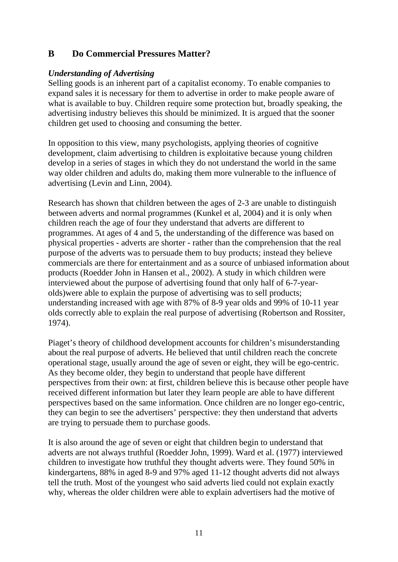### **B Do Commercial Pressures Matter?**

#### *Understanding of Advertising*

Selling goods is an inherent part of a capitalist economy. To enable companies to expand sales it is necessary for them to advertise in order to make people aware of what is available to buy. Children require some protection but, broadly speaking, the advertising industry believes this should be minimized. It is argued that the sooner children get used to choosing and consuming the better.

In opposition to this view, many psychologists, applying theories of cognitive development, claim advertising to children is exploitative because young children develop in a series of stages in which they do not understand the world in the same way older children and adults do, making them more vulnerable to the influence of advertising (Levin and Linn, 2004).

Research has shown that children between the ages of 2-3 are unable to distinguish between adverts and normal programmes (Kunkel et al, 2004) and it is only when children reach the age of four they understand that adverts are different to programmes. At ages of 4 and 5, the understanding of the difference was based on physical properties - adverts are shorter - rather than the comprehension that the real purpose of the adverts was to persuade them to buy products; instead they believe commercials are there for entertainment and as a source of unbiased information about products (Roedder John in Hansen et al., 2002). A study in which children were interviewed about the purpose of advertising found that only half of 6-7-yearolds)were able to explain the purpose of advertising was to sell products; understanding increased with age with 87% of 8-9 year olds and 99% of 10-11 year olds correctly able to explain the real purpose of advertising (Robertson and Rossiter, 1974).

Piaget's theory of childhood development accounts for children's misunderstanding about the real purpose of adverts. He believed that until children reach the concrete operational stage, usually around the age of seven or eight, they will be ego-centric. As they become older, they begin to understand that people have different perspectives from their own: at first, children believe this is because other people have received different information but later they learn people are able to have different perspectives based on the same information. Once children are no longer ego-centric, they can begin to see the advertisers' perspective: they then understand that adverts are trying to persuade them to purchase goods.

It is also around the age of seven or eight that children begin to understand that adverts are not always truthful (Roedder John, 1999). Ward et al. (1977) interviewed children to investigate how truthful they thought adverts were. They found 50% in kindergartens, 88% in aged 8-9 and 97% aged 11-12 thought adverts did not always tell the truth. Most of the youngest who said adverts lied could not explain exactly why, whereas the older children were able to explain advertisers had the motive of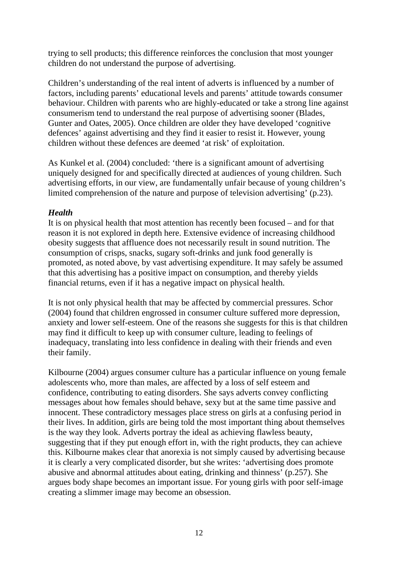trying to sell products; this difference reinforces the conclusion that most younger children do not understand the purpose of advertising.

Children's understanding of the real intent of adverts is influenced by a number of factors, including parents' educational levels and parents' attitude towards consumer behaviour. Children with parents who are highly-educated or take a strong line against consumerism tend to understand the real purpose of advertising sooner (Blades, Gunter and Oates, 2005). Once children are older they have developed 'cognitive defences' against advertising and they find it easier to resist it. However, young children without these defences are deemed 'at risk' of exploitation.

As Kunkel et al. (2004) concluded: 'there is a significant amount of advertising uniquely designed for and specifically directed at audiences of young children. Such advertising efforts, in our view, are fundamentally unfair because of young children's limited comprehension of the nature and purpose of television advertising' (p.23).

### *Health*

It is on physical health that most attention has recently been focused – and for that reason it is not explored in depth here. Extensive evidence of increasing childhood obesity suggests that affluence does not necessarily result in sound nutrition. The consumption of crisps, snacks, sugary soft-drinks and junk food generally is promoted, as noted above, by vast advertising expenditure. It may safely be assumed that this advertising has a positive impact on consumption, and thereby yields financial returns, even if it has a negative impact on physical health.

It is not only physical health that may be affected by commercial pressures. Schor (2004) found that children engrossed in consumer culture suffered more depression, anxiety and lower self-esteem. One of the reasons she suggests for this is that children may find it difficult to keep up with consumer culture, leading to feelings of inadequacy, translating into less confidence in dealing with their friends and even their family.

Kilbourne (2004) argues consumer culture has a particular influence on young female adolescents who, more than males, are affected by a loss of self esteem and confidence, contributing to eating disorders. She says adverts convey conflicting messages about how females should behave, sexy but at the same time passive and innocent. These contradictory messages place stress on girls at a confusing period in their lives. In addition, girls are being told the most important thing about themselves is the way they look. Adverts portray the ideal as achieving flawless beauty, suggesting that if they put enough effort in, with the right products, they can achieve this. Kilbourne makes clear that anorexia is not simply caused by advertising because it is clearly a very complicated disorder, but she writes: 'advertising does promote abusive and abnormal attitudes about eating, drinking and thinness' (p.257). She argues body shape becomes an important issue. For young girls with poor self-image creating a slimmer image may become an obsession.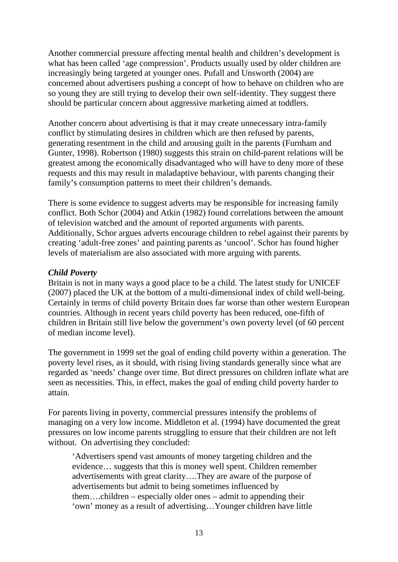Another commercial pressure affecting mental health and children's development is what has been called 'age compression'. Products usually used by older children are increasingly being targeted at younger ones. Pufall and Unsworth (2004) are concerned about advertisers pushing a concept of how to behave on children who are so young they are still trying to develop their own self-identity. They suggest there should be particular concern about aggressive marketing aimed at toddlers.

Another concern about advertising is that it may create unnecessary intra-family conflict by stimulating desires in children which are then refused by parents, generating resentment in the child and arousing guilt in the parents (Furnham and Gunter, 1998). Robertson (1980) suggests this strain on child-parent relations will be greatest among the economically disadvantaged who will have to deny more of these requests and this may result in maladaptive behaviour, with parents changing their family's consumption patterns to meet their children's demands.

There is some evidence to suggest adverts may be responsible for increasing family conflict. Both Schor (2004) and Atkin (1982) found correlations between the amount of television watched and the amount of reported arguments with parents. Additionally, Schor argues adverts encourage children to rebel against their parents by creating 'adult-free zones' and painting parents as 'uncool'. Schor has found higher levels of materialism are also associated with more arguing with parents.

### *Child Poverty*

Britain is not in many ways a good place to be a child. The latest study for UNICEF (2007) placed the UK at the bottom of a multi-dimensional index of child well-being. Certainly in terms of child poverty Britain does far worse than other western European countries. Although in recent years child poverty has been reduced, one-fifth of children in Britain still live below the government's own poverty level (of 60 percent of median income level).

The government in 1999 set the goal of ending child poverty within a generation. The poverty level rises, as it should, with rising living standards generally since what are regarded as 'needs' change over time. But direct pressures on children inflate what are seen as necessities. This, in effect, makes the goal of ending child poverty harder to attain.

For parents living in poverty, commercial pressures intensify the problems of managing on a very low income. Middleton et al. (1994) have documented the great pressures on low income parents struggling to ensure that their children are not left without. On advertising they concluded:

'Advertisers spend vast amounts of money targeting children and the evidence… suggests that this is money well spent. Children remember advertisements with great clarity….They are aware of the purpose of advertisements but admit to being sometimes influenced by them….children – especially older ones – admit to appending their 'own' money as a result of advertising…Younger children have little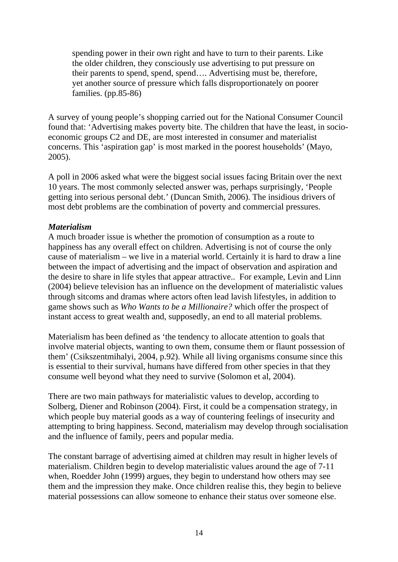spending power in their own right and have to turn to their parents. Like the older children, they consciously use advertising to put pressure on their parents to spend, spend, spend…. Advertising must be, therefore, yet another source of pressure which falls disproportionately on poorer families. (pp.85-86)

A survey of young people's shopping carried out for the National Consumer Council found that: 'Advertising makes poverty bite. The children that have the least, in socioeconomic groups C2 and DE, are most interested in consumer and materialist concerns. This 'aspiration gap' is most marked in the poorest households' (Mayo, 2005).

A poll in 2006 asked what were the biggest social issues facing Britain over the next 10 years. The most commonly selected answer was, perhaps surprisingly, 'People getting into serious personal debt.' (Duncan Smith, 2006). The insidious drivers of most debt problems are the combination of poverty and commercial pressures.

#### *Materialism*

A much broader issue is whether the promotion of consumption as a route to happiness has any overall effect on children. Advertising is not of course the only cause of materialism – we live in a material world. Certainly it is hard to draw a line between the impact of advertising and the impact of observation and aspiration and the desire to share in life styles that appear attractive.. For example, Levin and Linn (2004) believe television has an influence on the development of materialistic values through sitcoms and dramas where actors often lead lavish lifestyles, in addition to game shows such as *Who Wants to be a Millionaire?* which offer the prospect of instant access to great wealth and, supposedly, an end to all material problems.

Materialism has been defined as 'the tendency to allocate attention to goals that involve material objects, wanting to own them, consume them or flaunt possession of them' (Csikszentmihalyi, 2004, p.92). While all living organisms consume since this is essential to their survival, humans have differed from other species in that they consume well beyond what they need to survive (Solomon et al, 2004).

There are two main pathways for materialistic values to develop, according to Solberg, Diener and Robinson (2004). First, it could be a compensation strategy, in which people buy material goods as a way of countering feelings of insecurity and attempting to bring happiness. Second, materialism may develop through socialisation and the influence of family, peers and popular media.

The constant barrage of advertising aimed at children may result in higher levels of materialism. Children begin to develop materialistic values around the age of 7-11 when, Roedder John (1999) argues, they begin to understand how others may see them and the impression they make. Once children realise this, they begin to believe material possessions can allow someone to enhance their status over someone else.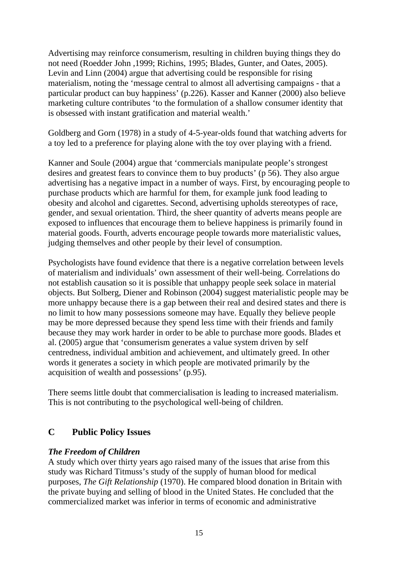Advertising may reinforce consumerism, resulting in children buying things they do not need (Roedder John ,1999; Richins, 1995; Blades, Gunter, and Oates, 2005). Levin and Linn (2004) argue that advertising could be responsible for rising materialism, noting the 'message central to almost all advertising campaigns - that a particular product can buy happiness' (p.226). Kasser and Kanner (2000) also believe marketing culture contributes 'to the formulation of a shallow consumer identity that is obsessed with instant gratification and material wealth.'

Goldberg and Gorn (1978) in a study of 4-5-year-olds found that watching adverts for a toy led to a preference for playing alone with the toy over playing with a friend.

Kanner and Soule (2004) argue that 'commercials manipulate people's strongest desires and greatest fears to convince them to buy products' (p 56). They also argue advertising has a negative impact in a number of ways. First, by encouraging people to purchase products which are harmful for them, for example junk food leading to obesity and alcohol and cigarettes. Second, advertising upholds stereotypes of race, gender, and sexual orientation. Third, the sheer quantity of adverts means people are exposed to influences that encourage them to believe happiness is primarily found in material goods. Fourth, adverts encourage people towards more materialistic values, judging themselves and other people by their level of consumption.

Psychologists have found evidence that there is a negative correlation between levels of materialism and individuals' own assessment of their well-being. Correlations do not establish causation so it is possible that unhappy people seek solace in material objects. But Solberg, Diener and Robinson (2004) suggest materialistic people may be more unhappy because there is a gap between their real and desired states and there is no limit to how many possessions someone may have. Equally they believe people may be more depressed because they spend less time with their friends and family because they may work harder in order to be able to purchase more goods. Blades et al. (2005) argue that 'consumerism generates a value system driven by self centredness, individual ambition and achievement, and ultimately greed. In other words it generates a society in which people are motivated primarily by the acquisition of wealth and possessions' (p.95).

There seems little doubt that commercialisation is leading to increased materialism. This is not contributing to the psychological well-being of children.

### **C Public Policy Issues**

### *The Freedom of Children*

A study which over thirty years ago raised many of the issues that arise from this study was Richard Titmuss's study of the supply of human blood for medical purposes, *The Gift Relationship* (1970). He compared blood donation in Britain with the private buying and selling of blood in the United States. He concluded that the commercialized market was inferior in terms of economic and administrative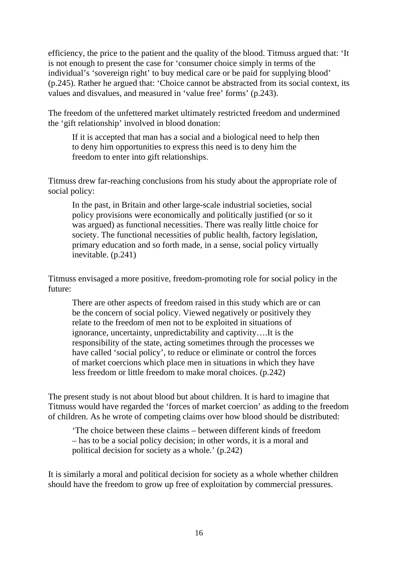efficiency, the price to the patient and the quality of the blood. Titmuss argued that: 'It is not enough to present the case for 'consumer choice simply in terms of the individual's 'sovereign right' to buy medical care or be paid for supplying blood' (p.245). Rather he argued that: 'Choice cannot be abstracted from its social context, its values and disvalues, and measured in 'value free' forms' (p.243).

The freedom of the unfettered market ultimately restricted freedom and undermined the 'gift relationship' involved in blood donation:

If it is accepted that man has a social and a biological need to help then to deny him opportunities to express this need is to deny him the freedom to enter into gift relationships.

Titmuss drew far-reaching conclusions from his study about the appropriate role of social policy:

In the past, in Britain and other large-scale industrial societies, social policy provisions were economically and politically justified (or so it was argued) as functional necessities. There was really little choice for society. The functional necessities of public health, factory legislation, primary education and so forth made, in a sense, social policy virtually inevitable. (p.241)

Titmuss envisaged a more positive, freedom-promoting role for social policy in the future:

There are other aspects of freedom raised in this study which are or can be the concern of social policy. Viewed negatively or positively they relate to the freedom of men not to be exploited in situations of ignorance, uncertainty, unpredictability and captivity….It is the responsibility of the state, acting sometimes through the processes we have called 'social policy', to reduce or eliminate or control the forces of market coercions which place men in situations in which they have less freedom or little freedom to make moral choices. (p.242)

The present study is not about blood but about children. It is hard to imagine that Titmuss would have regarded the 'forces of market coercion' as adding to the freedom of children. As he wrote of competing claims over how blood should be distributed:

'The choice between these claims – between different kinds of freedom – has to be a social policy decision; in other words, it is a moral and political decision for society as a whole.' (p.242)

It is similarly a moral and political decision for society as a whole whether children should have the freedom to grow up free of exploitation by commercial pressures.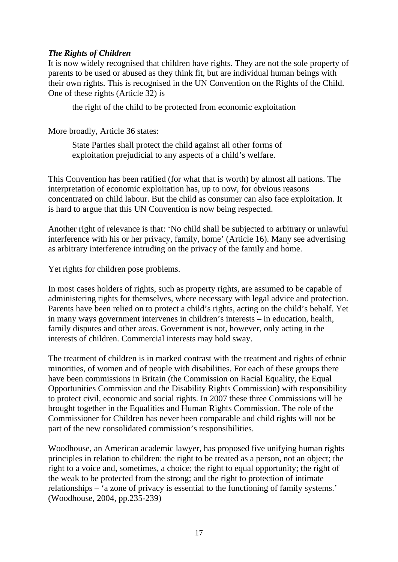#### *The Rights of Children*

It is now widely recognised that children have rights. They are not the sole property of parents to be used or abused as they think fit, but are individual human beings with their own rights. This is recognised in the UN Convention on the Rights of the Child. One of these rights (Article 32) is

the right of the child to be protected from economic exploitation

More broadly, Article 36 states:

State Parties shall protect the child against all other forms of exploitation prejudicial to any aspects of a child's welfare.

This Convention has been ratified (for what that is worth) by almost all nations. The interpretation of economic exploitation has, up to now, for obvious reasons concentrated on child labour. But the child as consumer can also face exploitation. It is hard to argue that this UN Convention is now being respected.

Another right of relevance is that: 'No child shall be subjected to arbitrary or unlawful interference with his or her privacy, family, home' (Article 16). Many see advertising as arbitrary interference intruding on the privacy of the family and home.

Yet rights for children pose problems.

In most cases holders of rights, such as property rights, are assumed to be capable of administering rights for themselves, where necessary with legal advice and protection. Parents have been relied on to protect a child's rights, acting on the child's behalf. Yet in many ways government intervenes in children's interests – in education, health, family disputes and other areas. Government is not, however, only acting in the interests of children. Commercial interests may hold sway.

The treatment of children is in marked contrast with the treatment and rights of ethnic minorities, of women and of people with disabilities. For each of these groups there have been commissions in Britain (the Commission on Racial Equality, the Equal Opportunities Commission and the Disability Rights Commission) with responsibility to protect civil, economic and social rights. In 2007 these three Commissions will be brought together in the Equalities and Human Rights Commission. The role of the Commissioner for Children has never been comparable and child rights will not be part of the new consolidated commission's responsibilities.

Woodhouse, an American academic lawyer, has proposed five unifying human rights principles in relation to children: the right to be treated as a person, not an object; the right to a voice and, sometimes, a choice; the right to equal opportunity; the right of the weak to be protected from the strong; and the right to protection of intimate relationships – 'a zone of privacy is essential to the functioning of family systems.' (Woodhouse, 2004, pp.235-239)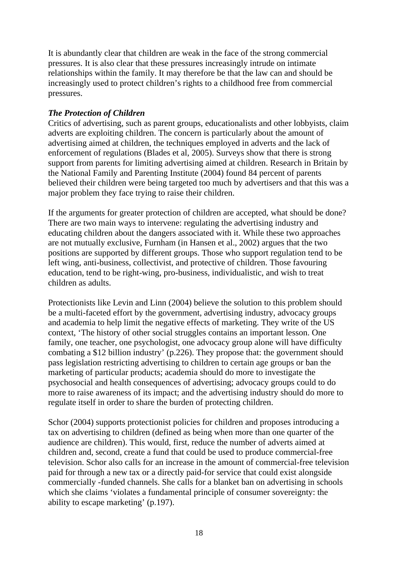It is abundantly clear that children are weak in the face of the strong commercial pressures. It is also clear that these pressures increasingly intrude on intimate relationships within the family. It may therefore be that the law can and should be increasingly used to protect children's rights to a childhood free from commercial pressures.

### *The Protection of Children*

Critics of advertising, such as parent groups, educationalists and other lobbyists, claim adverts are exploiting children. The concern is particularly about the amount of advertising aimed at children, the techniques employed in adverts and the lack of enforcement of regulations (Blades et al, 2005). Surveys show that there is strong support from parents for limiting advertising aimed at children. Research in Britain by the National Family and Parenting Institute (2004) found 84 percent of parents believed their children were being targeted too much by advertisers and that this was a major problem they face trying to raise their children.

If the arguments for greater protection of children are accepted, what should be done? There are two main ways to intervene: regulating the advertising industry and educating children about the dangers associated with it. While these two approaches are not mutually exclusive, Furnham (in Hansen et al., 2002) argues that the two positions are supported by different groups. Those who support regulation tend to be left wing, anti-business, collectivist, and protective of children. Those favouring education, tend to be right-wing, pro-business, individualistic, and wish to treat children as adults.

Protectionists like Levin and Linn (2004) believe the solution to this problem should be a multi-faceted effort by the government, advertising industry, advocacy groups and academia to help limit the negative effects of marketing. They write of the US context, 'The history of other social struggles contains an important lesson. One family, one teacher, one psychologist, one advocacy group alone will have difficulty combating a \$12 billion industry' (p.226). They propose that: the government should pass legislation restricting advertising to children to certain age groups or ban the marketing of particular products; academia should do more to investigate the psychosocial and health consequences of advertising; advocacy groups could to do more to raise awareness of its impact; and the advertising industry should do more to regulate itself in order to share the burden of protecting children.

Schor (2004) supports protectionist policies for children and proposes introducing a tax on advertising to children (defined as being when more than one quarter of the audience are children). This would, first, reduce the number of adverts aimed at children and, second, create a fund that could be used to produce commercial-free television. Schor also calls for an increase in the amount of commercial-free television paid for through a new tax or a directly paid-for service that could exist alongside commercially -funded channels. She calls for a blanket ban on advertising in schools which she claims 'violates a fundamental principle of consumer sovereignty: the ability to escape marketing' (p.197).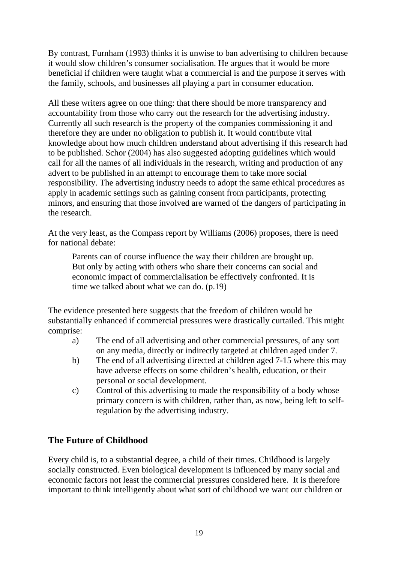By contrast, Furnham (1993) thinks it is unwise to ban advertising to children because it would slow children's consumer socialisation. He argues that it would be more beneficial if children were taught what a commercial is and the purpose it serves with the family, schools, and businesses all playing a part in consumer education.

All these writers agree on one thing: that there should be more transparency and accountability from those who carry out the research for the advertising industry. Currently all such research is the property of the companies commissioning it and therefore they are under no obligation to publish it. It would contribute vital knowledge about how much children understand about advertising if this research had to be published. Schor (2004) has also suggested adopting guidelines which would call for all the names of all individuals in the research, writing and production of any advert to be published in an attempt to encourage them to take more social responsibility. The advertising industry needs to adopt the same ethical procedures as apply in academic settings such as gaining consent from participants, protecting minors, and ensuring that those involved are warned of the dangers of participating in the research.

At the very least, as the Compass report by Williams (2006) proposes, there is need for national debate:

Parents can of course influence the way their children are brought up. But only by acting with others who share their concerns can social and economic impact of commercialisation be effectively confronted. It is time we talked about what we can do. (p.19)

The evidence presented here suggests that the freedom of children would be substantially enhanced if commercial pressures were drastically curtailed. This might comprise:

- a) The end of all advertising and other commercial pressures, of any sort on any media, directly or indirectly targeted at children aged under 7.
- b) The end of all advertising directed at children aged 7-15 where this may have adverse effects on some children's health, education, or their personal or social development.
- c) Control of this advertising to made the responsibility of a body whose primary concern is with children, rather than, as now, being left to selfregulation by the advertising industry.

### **The Future of Childhood**

Every child is, to a substantial degree, a child of their times. Childhood is largely socially constructed. Even biological development is influenced by many social and economic factors not least the commercial pressures considered here. It is therefore important to think intelligently about what sort of childhood we want our children or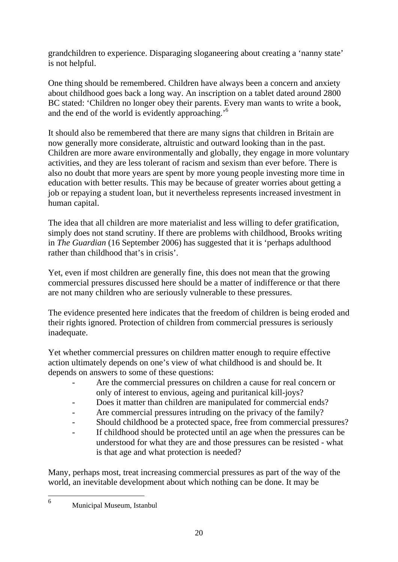grandchildren to experience. Disparaging sloganeering about creating a 'nanny state' is not helpful.

One thing should be remembered. Children have always been a concern and anxiety about childhood goes back a long way. An inscription on a tablet dated around 2800 BC stated: 'Children no longer obey their parents. Every man wants to write a book, and the end of the world is evidently approaching.'6

It should also be remembered that there are many signs that children in Britain are now generally more considerate, altruistic and outward looking than in the past. Children are more aware environmentally and globally, they engage in more voluntary activities, and they are less tolerant of racism and sexism than ever before. There is also no doubt that more years are spent by more young people investing more time in education with better results. This may be because of greater worries about getting a job or repaying a student loan, but it nevertheless represents increased investment in human capital.

The idea that all children are more materialist and less willing to defer gratification, simply does not stand scrutiny. If there are problems with childhood, Brooks writing in *The Guardian* (16 September 2006) has suggested that it is 'perhaps adulthood rather than childhood that's in crisis'.

Yet, even if most children are generally fine, this does not mean that the growing commercial pressures discussed here should be a matter of indifference or that there are not many children who are seriously vulnerable to these pressures.

The evidence presented here indicates that the freedom of children is being eroded and their rights ignored. Protection of children from commercial pressures is seriously inadequate.

Yet whether commercial pressures on children matter enough to require effective action ultimately depends on one's view of what childhood is and should be. It depends on answers to some of these questions:

- Are the commercial pressures on children a cause for real concern or only of interest to envious, ageing and puritanical kill-joys?
- Does it matter than children are manipulated for commercial ends?
- Are commercial pressures intruding on the privacy of the family?
- Should childhood be a protected space, free from commercial pressures?
- If childhood should be protected until an age when the pressures can be understood for what they are and those pressures can be resisted - what is that age and what protection is needed?

Many, perhaps most, treat increasing commercial pressures as part of the way of the world, an inevitable development about which nothing can be done. It may be

1

<sup>6</sup> Municipal Museum, Istanbul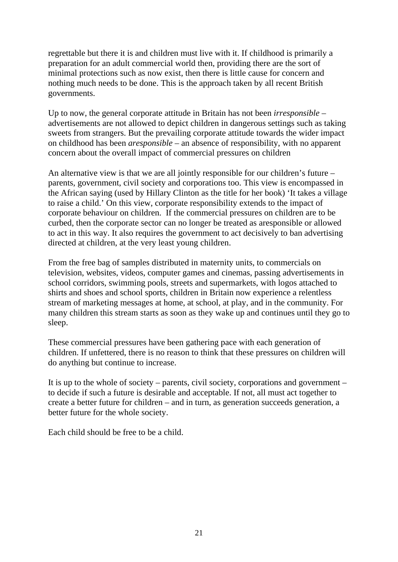regrettable but there it is and children must live with it. If childhood is primarily a preparation for an adult commercial world then, providing there are the sort of minimal protections such as now exist, then there is little cause for concern and nothing much needs to be done. This is the approach taken by all recent British governments.

Up to now, the general corporate attitude in Britain has not been *irresponsible* – advertisements are not allowed to depict children in dangerous settings such as taking sweets from strangers. But the prevailing corporate attitude towards the wider impact on childhood has been *aresponsible* – an absence of responsibility, with no apparent concern about the overall impact of commercial pressures on children

An alternative view is that we are all jointly responsible for our children's future – parents, government, civil society and corporations too. This view is encompassed in the African saying (used by Hillary Clinton as the title for her book) 'It takes a village to raise a child.' On this view, corporate responsibility extends to the impact of corporate behaviour on children. If the commercial pressures on children are to be curbed, then the corporate sector can no longer be treated as aresponsible or allowed to act in this way. It also requires the government to act decisively to ban advertising directed at children, at the very least young children.

From the free bag of samples distributed in maternity units, to commercials on television, websites, videos, computer games and cinemas, passing advertisements in school corridors, swimming pools, streets and supermarkets, with logos attached to shirts and shoes and school sports, children in Britain now experience a relentless stream of marketing messages at home, at school, at play, and in the community. For many children this stream starts as soon as they wake up and continues until they go to sleep.

These commercial pressures have been gathering pace with each generation of children. If unfettered, there is no reason to think that these pressures on children will do anything but continue to increase.

It is up to the whole of society – parents, civil society, corporations and government – to decide if such a future is desirable and acceptable. If not, all must act together to create a better future for children – and in turn, as generation succeeds generation, a better future for the whole society.

Each child should be free to be a child.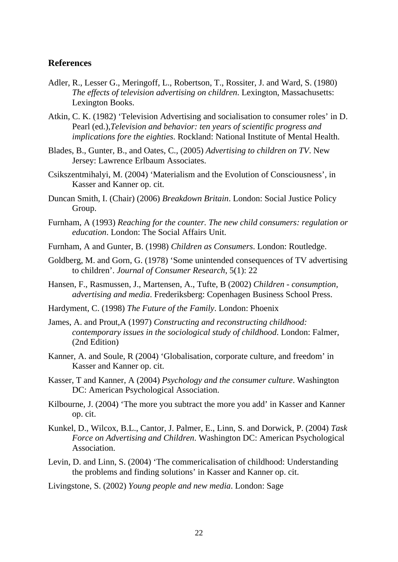#### **References**

- Adler, R., Lesser G., Meringoff, L., Robertson, T., Rossiter, J. and Ward, S. (1980) *The effects of television advertising on children*. Lexington, Massachusetts: Lexington Books.
- Atkin, C. K. (1982) 'Television Advertising and socialisation to consumer roles' in D. Pearl (ed.),*Television and behavior: ten years of scientific progress and implications fore the eighties*. Rockland: National Institute of Mental Health.
- Blades, B., Gunter, B., and Oates, C., (2005) *Advertising to children on TV*. New Jersey: Lawrence Erlbaum Associates.
- Csikszentmihalyi, M. (2004) 'Materialism and the Evolution of Consciousness', in Kasser and Kanner op. cit.
- Duncan Smith, I. (Chair) (2006) *Breakdown Britain*. London: Social Justice Policy Group.
- Furnham, A (1993) *Reaching for the counter. The new child consumers: regulation or education*. London: The Social Affairs Unit.
- Furnham, A and Gunter, B. (1998) *Children as Consumers*. London: Routledge.
- Goldberg, M. and Gorn, G. (1978) 'Some unintended consequences of TV advertising to children'. *Journal of Consumer Research*, 5(1): 22
- Hansen, F., Rasmussen, J., Martensen, A., Tufte, B (2002) *Children consumption, advertising and media*. Frederiksberg: Copenhagen Business School Press.
- Hardyment, C. (1998) *The Future of the Family*. London: Phoenix
- James, A. and Prout,A (1997) *Constructing and reconstructing childhood: contemporary issues in the sociological study of childhood*. London: Falmer, (2nd Edition)
- Kanner, A. and Soule, R (2004) 'Globalisation, corporate culture, and freedom' in Kasser and Kanner op. cit.
- Kasser, T and Kanner, A (2004) *Psychology and the consumer culture*. Washington DC: American Psychological Association.
- Kilbourne, J. (2004) 'The more you subtract the more you add' in Kasser and Kanner op. cit.
- Kunkel, D., Wilcox, B.L., Cantor, J. Palmer, E., Linn, S. and Dorwick, P. (2004) *Task Force on Advertising and Children*. Washington DC: American Psychological Association.
- Levin, D. and Linn, S. (2004) 'The commericalisation of childhood: Understanding the problems and finding solutions' in Kasser and Kanner op. cit.

Livingstone, S. (2002) *Young people and new media*. London: Sage